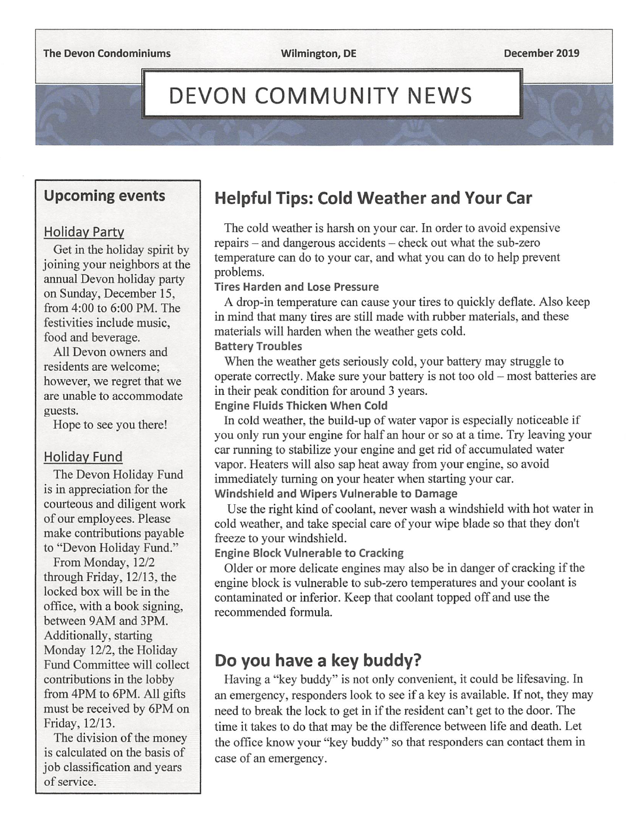# DEVON COMMUNITY NEWS

### Upcoming events

### Holiday Party

Get in the holiday spirit by joining your neighbors at the annual Devon holiday party on Sunday, December 15, from 4:00 to 6:00 PM. The festivities include music, food and beverage.

All Devon owners and residents are welcome; however, we regret that we are unable to accommodate guests.

Hope to see you there!

### Holiday Fund

The Devon Holiday Fund is in appreciation for the courteous and diligent work of our employees. Please make contributions payable to "Devon Holiday Fund."

From Monday, 12/2 through Friday, 12/13, the locked box will be in the office, with a book signing, between 9AM and 3PM. Additionally, starting Monday 12/2, the Holiday Fund Committee will collect contributions in the lobby from 4PM to 6PM. All gifts must be received by 6PM on Friday, 12/13.

The division of the money is calculated on the basis of job classification and years of service.

# Helpful Tips: Cold Weather and Your Car

The cold weather is harsh on your car. In order to avoid expensive repairs - and dangerous accidents - check out what the sub-zero temperature can do to your car, and what you can do to help prevent problems.

#### Tires Harden and Lose Pressure

A drop-in temperature can cause your tires to quickly deflate. Also keep in mind that many tires are still made with rubber materials, and these materials will harden when the weather gets cold.

### Battery Troubles

When the weather gets seriously cold, your battery may struggle to operate correctly. Make sure your battery is not too old  $-$  most batteries are in their peak condition for around 3 years.

### Engine Fluids Thicken When Cold

In cold weather, the build-up of water vapor is especially noticeable if you only run your engine for half an hour or so at a time. Try leaving your car running to stabilize your engine and get rid of accumulated water vapor. Heaters will also sap heat away from your engine, so avoid immediately turning on your heater when starting your car. Windshield and Wipers Vulnerable to Damage

Use the right kind of coolant, never wash a windshield with hot water in cold weather, and take special care of your wipe blade so that they don't freeze to your windshield.

### Engine Block Vulnerable to Cracking

Older or more delicate engines may also be in danger of cracking if the engine block is vulnerable to sub-zero temperatures and your coolant is contaminated or inferior. Keep that coolant topped off and use the recommended formula.

# Do you have a key buddy?

Having a "key buddy" is not only convenient, it could be lifesaving. In an emergency, responders look to see if a key is available. If not, they may need to break the lock to get in if the resident can't get to the door. The time it takes to do that may be the difference between life and death. Let the office know your "key buddy" so that responders can contact them in case of an emergency.